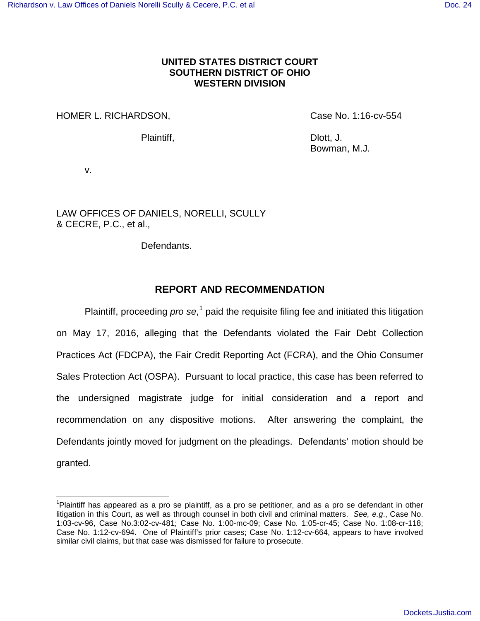# **UNITED STATES DISTRICT COURT SOUTHERN DISTRICT OF OHIO WESTERN DIVISION**

HOMER L. RICHARDSON, Case No. 1:16-cv-554

Plaintiff, Dlott, J.

Bowman, M.J.

v.

<u>.</u>

LAW OFFICES OF DANIELS, NORELLI, SCULLY & CECRE, P.C., et al.,

Defendants.

# **REPORT AND RECOMMENDATION**

Plaintiff, proceeding  $pro$  se,<sup>[1](#page-0-0)</sup> paid the requisite filing fee and initiated this litigation on May 17, 2016, alleging that the Defendants violated the Fair Debt Collection Practices Act (FDCPA), the Fair Credit Reporting Act (FCRA), and the Ohio Consumer Sales Protection Act (OSPA). Pursuant to local practice, this case has been referred to the undersigned magistrate judge for initial consideration and a report and recommendation on any dispositive motions. After answering the complaint, the Defendants jointly moved for judgment on the pleadings. Defendants' motion should be granted.

<span id="page-0-0"></span><sup>&</sup>lt;sup>1</sup>Plaintiff has appeared as a pro se plaintiff, as a pro se petitioner, and as a pro se defendant in other litigation in this Court, as well as through counsel in both civil and criminal matters. See, e.g., Case No. 1:03-cv-96, Case No.3:02-cv-481; Case No. 1:00-mc-09; Case No. 1:05-cr-45; Case No. 1:08-cr-118; Case No. 1:12-cv-694. One of Plaintiff's prior cases; Case No. 1:12-cv-664, appears to have involved similar civil claims, but that case was dismissed for failure to prosecute.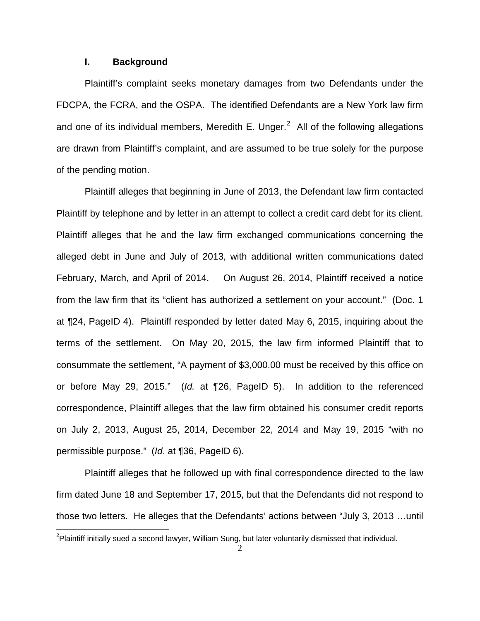## **I. Background**

Plaintiff's complaint seeks monetary damages from two Defendants under the FDCPA, the FCRA, and the OSPA. The identified Defendants are a New York law firm and one of its individual members, Meredith E. Unger.<sup>[2](#page-1-0)</sup> All of the following allegations are drawn from Plaintiff's complaint, and are assumed to be true solely for the purpose of the pending motion.

Plaintiff alleges that beginning in June of 2013, the Defendant law firm contacted Plaintiff by telephone and by letter in an attempt to collect a credit card debt for its client. Plaintiff alleges that he and the law firm exchanged communications concerning the alleged debt in June and July of 2013, with additional written communications dated February, March, and April of 2014. On August 26, 2014, Plaintiff received a notice from the law firm that its "client has authorized a settlement on your account." (Doc. 1 at ¶24, PageID 4). Plaintiff responded by letter dated May 6, 2015, inquiring about the terms of the settlement. On May 20, 2015, the law firm informed Plaintiff that to consummate the settlement, "A payment of \$3,000.00 must be received by this office on or before May 29, 2015." (Id. at ¶26, PageID 5). In addition to the referenced correspondence, Plaintiff alleges that the law firm obtained his consumer credit reports on July 2, 2013, August 25, 2014, December 22, 2014 and May 19, 2015 "with no permissible purpose." (Id. at ¶36, PageID 6).

Plaintiff alleges that he followed up with final correspondence directed to the law firm dated June 18 and September 17, 2015, but that the Defendants did not respond to those two letters. He alleges that the Defendants' actions between "July 3, 2013 …until

<span id="page-1-0"></span> 2 Plaintiff initially sued a second lawyer, William Sung, but later voluntarily dismissed that individual.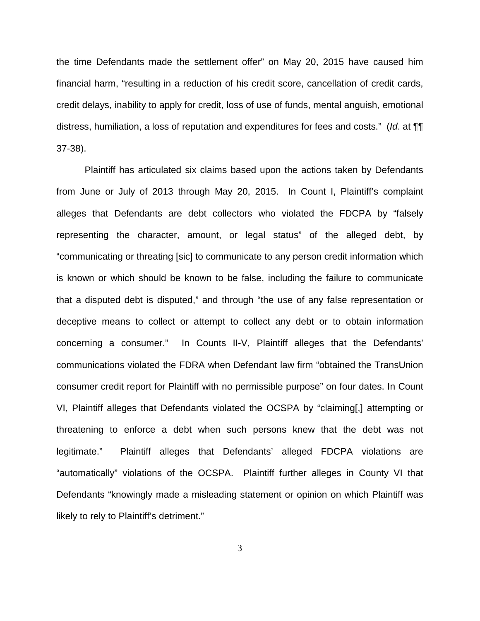the time Defendants made the settlement offer" on May 20, 2015 have caused him financial harm, "resulting in a reduction of his credit score, cancellation of credit cards, credit delays, inability to apply for credit, loss of use of funds, mental anguish, emotional distress, humiliation, a loss of reputation and expenditures for fees and costs." (Id. at  $\P$ 37-38).

Plaintiff has articulated six claims based upon the actions taken by Defendants from June or July of 2013 through May 20, 2015. In Count I, Plaintiff's complaint alleges that Defendants are debt collectors who violated the FDCPA by "falsely representing the character, amount, or legal status" of the alleged debt, by "communicating or threating [sic] to communicate to any person credit information which is known or which should be known to be false, including the failure to communicate that a disputed debt is disputed," and through "the use of any false representation or deceptive means to collect or attempt to collect any debt or to obtain information concerning a consumer." In Counts II-V, Plaintiff alleges that the Defendants' communications violated the FDRA when Defendant law firm "obtained the TransUnion consumer credit report for Plaintiff with no permissible purpose" on four dates. In Count VI, Plaintiff alleges that Defendants violated the OCSPA by "claiming[,] attempting or threatening to enforce a debt when such persons knew that the debt was not legitimate." Plaintiff alleges that Defendants' alleged FDCPA violations are "automatically" violations of the OCSPA. Plaintiff further alleges in County VI that Defendants "knowingly made a misleading statement or opinion on which Plaintiff was likely to rely to Plaintiff's detriment."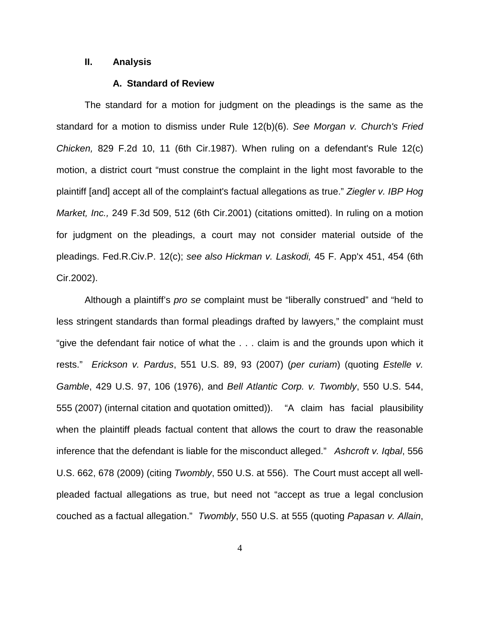## **II. Analysis**

## **A. Standard of Review**

The standard for a motion for judgment on the pleadings is the same as the standard for a motion to dismiss under Rule 12(b)(6). See Morgan v. Church's Fried Chicken, 829 F.2d 10, 11 (6th Cir.1987). When ruling on a defendant's Rule 12(c) motion, a district court "must construe the complaint in the light most favorable to the plaintiff [and] accept all of the complaint's factual allegations as true." Ziegler v. IBP Hog Market, Inc., 249 F.3d 509, 512 (6th Cir.2001) (citations omitted). In ruling on a motion for judgment on the pleadings, a court may not consider material outside of the pleadings. Fed.R.Civ.P. 12(c); see also Hickman v. Laskodi, 45 F. App'x 451, 454 (6th Cir.2002).

Although a plaintiff's pro se complaint must be "liberally construed" and "held to less stringent standards than formal pleadings drafted by lawyers," the complaint must "give the defendant fair notice of what the . . . claim is and the grounds upon which it rests." Erickson v. Pardus, 551 U.S. 89, 93 (2007) (per curiam) (quoting Estelle v. Gamble, 429 U.S. 97, 106 (1976), and Bell Atlantic Corp. v. Twombly, 550 U.S. 544, 555 (2007) (internal citation and quotation omitted)). "A claim has facial plausibility when the plaintiff pleads factual content that allows the court to draw the reasonable inference that the defendant is liable for the misconduct alleged." Ashcroft v. Iqbal, 556 U.S. 662, 678 (2009) (citing Twombly, 550 U.S. at 556). The Court must accept all wellpleaded factual allegations as true, but need not "accept as true a legal conclusion couched as a factual allegation." Twombly, 550 U.S. at 555 (quoting Papasan v. Allain,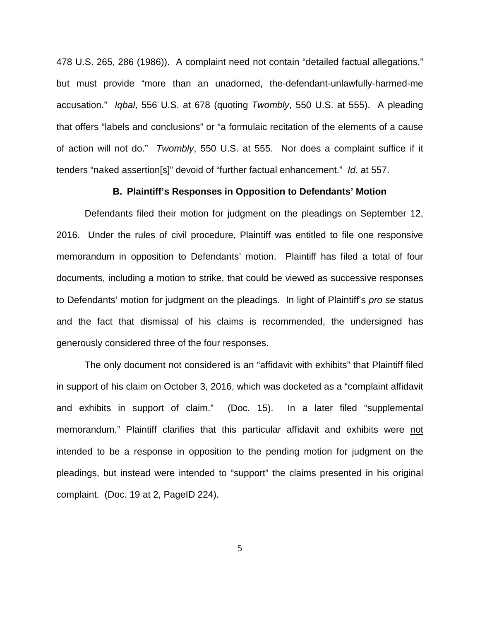478 U.S. 265, 286 (1986)). A complaint need not contain "detailed factual allegations," but must provide "more than an unadorned, the-defendant-unlawfully-harmed-me accusation." Iqbal, 556 U.S. at 678 (quoting Twombly, 550 U.S. at 555). A pleading that offers "labels and conclusions" or "a formulaic recitation of the elements of a cause of action will not do." Twombly, 550 U.S. at 555. Nor does a complaint suffice if it tenders "naked assertion[s]" devoid of "further factual enhancement." Id. at 557.

## **B. Plaintiff's Responses in Opposition to Defendants' Motion**

Defendants filed their motion for judgment on the pleadings on September 12, 2016. Under the rules of civil procedure, Plaintiff was entitled to file one responsive memorandum in opposition to Defendants' motion. Plaintiff has filed a total of four documents, including a motion to strike, that could be viewed as successive responses to Defendants' motion for judgment on the pleadings. In light of Plaintiff's pro se status and the fact that dismissal of his claims is recommended, the undersigned has generously considered three of the four responses.

The only document not considered is an "affidavit with exhibits" that Plaintiff filed in support of his claim on October 3, 2016, which was docketed as a "complaint affidavit and exhibits in support of claim." (Doc. 15). In a later filed "supplemental memorandum," Plaintiff clarifies that this particular affidavit and exhibits were not intended to be a response in opposition to the pending motion for judgment on the pleadings, but instead were intended to "support" the claims presented in his original complaint. (Doc. 19 at 2, PageID 224).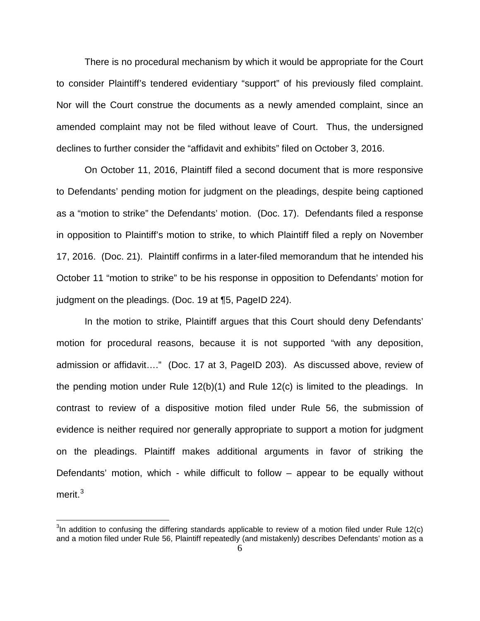There is no procedural mechanism by which it would be appropriate for the Court to consider Plaintiff's tendered evidentiary "support" of his previously filed complaint. Nor will the Court construe the documents as a newly amended complaint, since an amended complaint may not be filed without leave of Court. Thus, the undersigned declines to further consider the "affidavit and exhibits" filed on October 3, 2016.

 On October 11, 2016, Plaintiff filed a second document that is more responsive to Defendants' pending motion for judgment on the pleadings, despite being captioned as a "motion to strike" the Defendants' motion. (Doc. 17). Defendants filed a response in opposition to Plaintiff's motion to strike, to which Plaintiff filed a reply on November 17, 2016. (Doc. 21). Plaintiff confirms in a later-filed memorandum that he intended his October 11 "motion to strike" to be his response in opposition to Defendants' motion for judgment on the pleadings. (Doc. 19 at ¶5, PageID 224).

In the motion to strike, Plaintiff argues that this Court should deny Defendants' motion for procedural reasons, because it is not supported "with any deposition, admission or affidavit…." (Doc. 17 at 3, PageID 203). As discussed above, review of the pending motion under Rule 12(b)(1) and Rule 12(c) is limited to the pleadings. In contrast to review of a dispositive motion filed under Rule 56, the submission of evidence is neither required nor generally appropriate to support a motion for judgment on the pleadings. Plaintiff makes additional arguments in favor of striking the Defendants' motion, which - while difficult to follow – appear to be equally without merit.<sup>[3](#page-5-0)</sup>

 $\overline{\phantom{a}}$ 

<span id="page-5-0"></span> $3$ In addition to confusing the differing standards applicable to review of a motion filed under Rule 12(c) and a motion filed under Rule 56, Plaintiff repeatedly (and mistakenly) describes Defendants' motion as a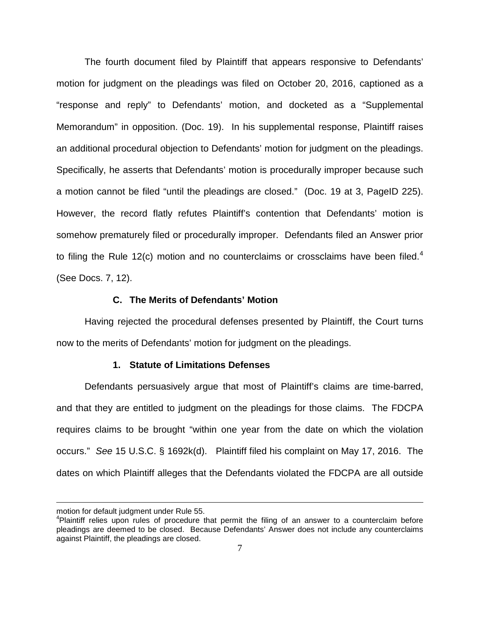The fourth document filed by Plaintiff that appears responsive to Defendants' motion for judgment on the pleadings was filed on October 20, 2016, captioned as a "response and reply" to Defendants' motion, and docketed as a "Supplemental Memorandum" in opposition. (Doc. 19). In his supplemental response, Plaintiff raises an additional procedural objection to Defendants' motion for judgment on the pleadings. Specifically, he asserts that Defendants' motion is procedurally improper because such a motion cannot be filed "until the pleadings are closed." (Doc. 19 at 3, PageID 225). However, the record flatly refutes Plaintiff's contention that Defendants' motion is somehow prematurely filed or procedurally improper. Defendants filed an Answer prior to filing the Rule 12(c) motion and no counterclaims or crossclaims have been filed.<sup>[4](#page-6-0)</sup> (See Docs. 7, 12).

## **C. The Merits of Defendants' Motion**

Having rejected the procedural defenses presented by Plaintiff, the Court turns now to the merits of Defendants' motion for judgment on the pleadings.

#### **1. Statute of Limitations Defenses**

Defendants persuasively argue that most of Plaintiff's claims are time-barred, and that they are entitled to judgment on the pleadings for those claims. The FDCPA requires claims to be brought "within one year from the date on which the violation occurs." See 15 U.S.C. § 1692k(d). Plaintiff filed his complaint on May 17, 2016. The dates on which Plaintiff alleges that the Defendants violated the FDCPA are all outside

<u>.</u>

motion for default judgment under Rule 55.

<span id="page-6-0"></span><sup>&</sup>lt;sup>4</sup>Plaintiff relies upon rules of procedure that permit the filing of an answer to a counterclaim before pleadings are deemed to be closed. Because Defendants' Answer does not include any counterclaims against Plaintiff, the pleadings are closed.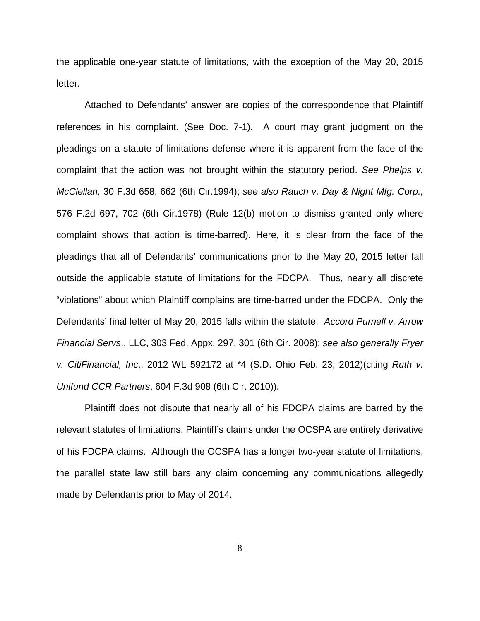the applicable one-year statute of limitations, with the exception of the May 20, 2015 letter.

 Attached to Defendants' answer are copies of the correspondence that Plaintiff references in his complaint. (See Doc. 7-1). A court may grant judgment on the pleadings on a statute of limitations defense where it is apparent from the face of the complaint that the action was not brought within the statutory period. See Phelps v. McClellan, 30 F.3d 658, 662 (6th Cir.1994); see also Rauch v. Day & Night Mfg. Corp., 576 F.2d 697, 702 (6th Cir.1978) (Rule 12(b) motion to dismiss granted only where complaint shows that action is time-barred). Here, it is clear from the face of the pleadings that all of Defendants' communications prior to the May 20, 2015 letter fall outside the applicable statute of limitations for the FDCPA. Thus, nearly all discrete "violations" about which Plaintiff complains are time-barred under the FDCPA. Only the Defendants' final letter of May 20, 2015 falls within the statute. Accord Purnell v. Arrow Financial Servs., LLC, 303 Fed. Appx. 297, 301 (6th Cir. 2008); see also generally Fryer v. CitiFinancial, Inc., 2012 WL 592172 at \*4 (S.D. Ohio Feb. 23, 2012)(citing Ruth v. Unifund CCR Partners, 604 F.3d 908 (6th Cir. 2010)).

Plaintiff does not dispute that nearly all of his FDCPA claims are barred by the relevant statutes of limitations. Plaintiff's claims under the OCSPA are entirely derivative of his FDCPA claims. Although the OCSPA has a longer two-year statute of limitations, the parallel state law still bars any claim concerning any communications allegedly made by Defendants prior to May of 2014.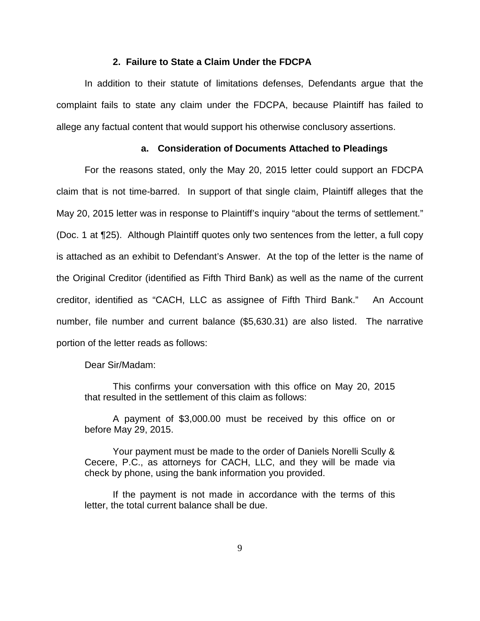#### **2. Failure to State a Claim Under the FDCPA**

In addition to their statute of limitations defenses, Defendants argue that the complaint fails to state any claim under the FDCPA, because Plaintiff has failed to allege any factual content that would support his otherwise conclusory assertions.

## **a. Consideration of Documents Attached to Pleadings**

For the reasons stated, only the May 20, 2015 letter could support an FDCPA claim that is not time-barred. In support of that single claim, Plaintiff alleges that the May 20, 2015 letter was in response to Plaintiff's inquiry "about the terms of settlement." (Doc. 1 at ¶25). Although Plaintiff quotes only two sentences from the letter, a full copy is attached as an exhibit to Defendant's Answer. At the top of the letter is the name of the Original Creditor (identified as Fifth Third Bank) as well as the name of the current creditor, identified as "CACH, LLC as assignee of Fifth Third Bank." An Account number, file number and current balance (\$5,630.31) are also listed. The narrative portion of the letter reads as follows:

Dear Sir/Madam:

This confirms your conversation with this office on May 20, 2015 that resulted in the settlement of this claim as follows:

A payment of \$3,000.00 must be received by this office on or before May 29, 2015.

Your payment must be made to the order of Daniels Norelli Scully & Cecere, P.C., as attorneys for CACH, LLC, and they will be made via check by phone, using the bank information you provided.

If the payment is not made in accordance with the terms of this letter, the total current balance shall be due.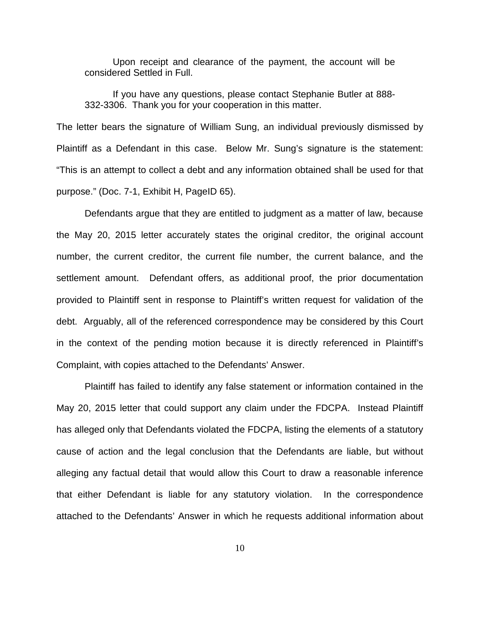Upon receipt and clearance of the payment, the account will be considered Settled in Full.

If you have any questions, please contact Stephanie Butler at 888- 332-3306. Thank you for your cooperation in this matter.

The letter bears the signature of William Sung, an individual previously dismissed by Plaintiff as a Defendant in this case. Below Mr. Sung's signature is the statement: "This is an attempt to collect a debt and any information obtained shall be used for that purpose." (Doc. 7-1, Exhibit H, PageID 65).

Defendants argue that they are entitled to judgment as a matter of law, because the May 20, 2015 letter accurately states the original creditor, the original account number, the current creditor, the current file number, the current balance, and the settlement amount. Defendant offers, as additional proof, the prior documentation provided to Plaintiff sent in response to Plaintiff's written request for validation of the debt. Arguably, all of the referenced correspondence may be considered by this Court in the context of the pending motion because it is directly referenced in Plaintiff's Complaint, with copies attached to the Defendants' Answer.

Plaintiff has failed to identify any false statement or information contained in the May 20, 2015 letter that could support any claim under the FDCPA. Instead Plaintiff has alleged only that Defendants violated the FDCPA, listing the elements of a statutory cause of action and the legal conclusion that the Defendants are liable, but without alleging any factual detail that would allow this Court to draw a reasonable inference that either Defendant is liable for any statutory violation. In the correspondence attached to the Defendants' Answer in which he requests additional information about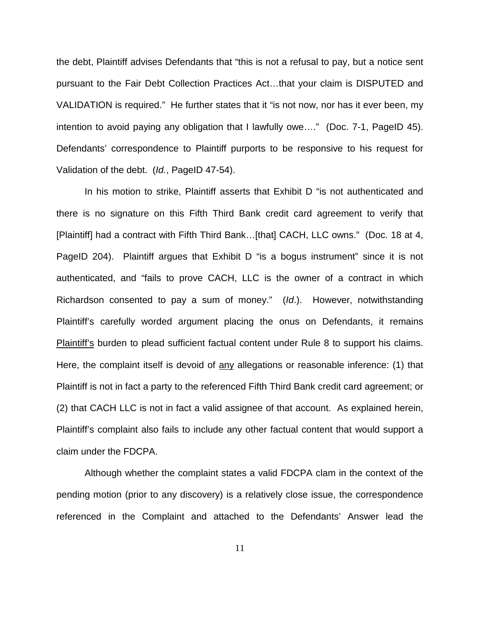the debt, Plaintiff advises Defendants that "this is not a refusal to pay, but a notice sent pursuant to the Fair Debt Collection Practices Act…that your claim is DISPUTED and VALIDATION is required." He further states that it "is not now, nor has it ever been, my intention to avoid paying any obligation that I lawfully owe…." (Doc. 7-1, PageID 45). Defendants' correspondence to Plaintiff purports to be responsive to his request for Validation of the debt. (Id., PageID 47-54).

In his motion to strike, Plaintiff asserts that Exhibit D "is not authenticated and there is no signature on this Fifth Third Bank credit card agreement to verify that [Plaintiff] had a contract with Fifth Third Bank…[that] CACH, LLC owns." (Doc. 18 at 4, PageID 204). Plaintiff argues that Exhibit D "is a bogus instrument" since it is not authenticated, and "fails to prove CACH, LLC is the owner of a contract in which Richardson consented to pay a sum of money." (Id.). However, notwithstanding Plaintiff's carefully worded argument placing the onus on Defendants, it remains Plaintiff's burden to plead sufficient factual content under Rule 8 to support his claims. Here, the complaint itself is devoid of any allegations or reasonable inference: (1) that Plaintiff is not in fact a party to the referenced Fifth Third Bank credit card agreement; or (2) that CACH LLC is not in fact a valid assignee of that account. As explained herein, Plaintiff's complaint also fails to include any other factual content that would support a claim under the FDCPA.

Although whether the complaint states a valid FDCPA clam in the context of the pending motion (prior to any discovery) is a relatively close issue, the correspondence referenced in the Complaint and attached to the Defendants' Answer lead the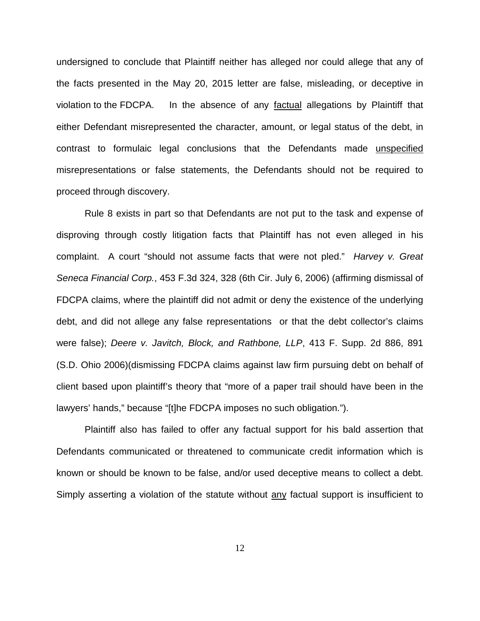undersigned to conclude that Plaintiff neither has alleged nor could allege that any of the facts presented in the May 20, 2015 letter are false, misleading, or deceptive in violation to the FDCPA. In the absence of any factual allegations by Plaintiff that either Defendant misrepresented the character, amount, or legal status of the debt, in contrast to formulaic legal conclusions that the Defendants made unspecified misrepresentations or false statements, the Defendants should not be required to proceed through discovery.

Rule 8 exists in part so that Defendants are not put to the task and expense of disproving through costly litigation facts that Plaintiff has not even alleged in his complaint. A court "should not assume facts that were not pled." Harvey v. Great Seneca Financial Corp., 453 F.3d 324, 328 (6th Cir. July 6, 2006) (affirming dismissal of FDCPA claims, where the plaintiff did not admit or deny the existence of the underlying debt, and did not allege any false representations or that the debt collector's claims were false); Deere v. Javitch, Block, and Rathbone, LLP, 413 F. Supp. 2d 886, 891 (S.D. Ohio 2006)(dismissing FDCPA claims against law firm pursuing debt on behalf of client based upon plaintiff's theory that "more of a paper trail should have been in the lawyers' hands," because "[t]he FDCPA imposes no such obligation.").

Plaintiff also has failed to offer any factual support for his bald assertion that Defendants communicated or threatened to communicate credit information which is known or should be known to be false, and/or used deceptive means to collect a debt. Simply asserting a violation of the statute without any factual support is insufficient to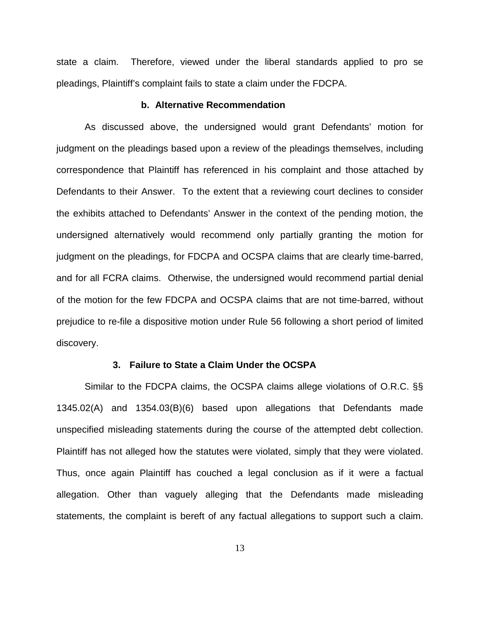state a claim. Therefore, viewed under the liberal standards applied to pro se pleadings, Plaintiff's complaint fails to state a claim under the FDCPA.

## **b. Alternative Recommendation**

As discussed above, the undersigned would grant Defendants' motion for judgment on the pleadings based upon a review of the pleadings themselves, including correspondence that Plaintiff has referenced in his complaint and those attached by Defendants to their Answer. To the extent that a reviewing court declines to consider the exhibits attached to Defendants' Answer in the context of the pending motion, the undersigned alternatively would recommend only partially granting the motion for judgment on the pleadings, for FDCPA and OCSPA claims that are clearly time-barred, and for all FCRA claims. Otherwise, the undersigned would recommend partial denial of the motion for the few FDCPA and OCSPA claims that are not time-barred, without prejudice to re-file a dispositive motion under Rule 56 following a short period of limited discovery.

#### **3. Failure to State a Claim Under the OCSPA**

Similar to the FDCPA claims, the OCSPA claims allege violations of O.R.C. §§ 1345.02(A) and 1354.03(B)(6) based upon allegations that Defendants made unspecified misleading statements during the course of the attempted debt collection. Plaintiff has not alleged how the statutes were violated, simply that they were violated. Thus, once again Plaintiff has couched a legal conclusion as if it were a factual allegation. Other than vaguely alleging that the Defendants made misleading statements, the complaint is bereft of any factual allegations to support such a claim.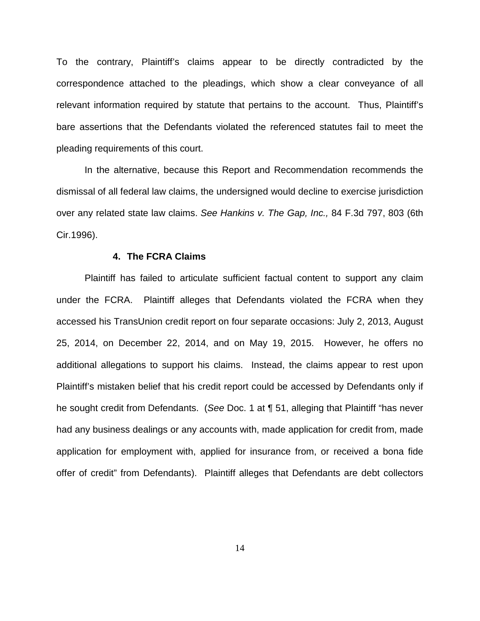To the contrary, Plaintiff's claims appear to be directly contradicted by the correspondence attached to the pleadings, which show a clear conveyance of all relevant information required by statute that pertains to the account. Thus, Plaintiff's bare assertions that the Defendants violated the referenced statutes fail to meet the pleading requirements of this court.

In the alternative, because this Report and Recommendation recommends the dismissal of all federal law claims, the undersigned would decline to exercise jurisdiction over any related state law claims. See Hankins v. The Gap, Inc., 84 F.3d 797, 803 (6th Cir.1996).

#### **4. The FCRA Claims**

Plaintiff has failed to articulate sufficient factual content to support any claim under the FCRA. Plaintiff alleges that Defendants violated the FCRA when they accessed his TransUnion credit report on four separate occasions: July 2, 2013, August 25, 2014, on December 22, 2014, and on May 19, 2015. However, he offers no additional allegations to support his claims. Instead, the claims appear to rest upon Plaintiff's mistaken belief that his credit report could be accessed by Defendants only if he sought credit from Defendants. (See Doc. 1 at ¶ 51, alleging that Plaintiff "has never had any business dealings or any accounts with, made application for credit from, made application for employment with, applied for insurance from, or received a bona fide offer of credit" from Defendants). Plaintiff alleges that Defendants are debt collectors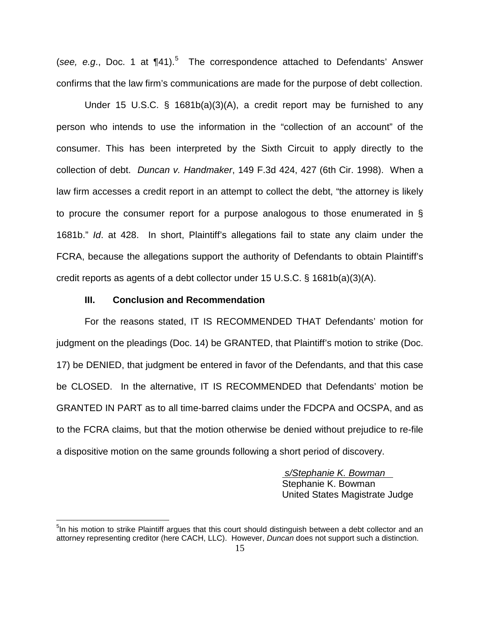(see, e.g., Doc. 1 at  $\P{41}$ ).<sup>[5](#page-14-0)</sup> The correspondence attached to Defendants' Answer confirms that the law firm's communications are made for the purpose of debt collection.

Under 15 U.S.C. § 1681b(a)(3)(A), a credit report may be furnished to any person who intends to use the information in the "collection of an account" of the consumer. This has been interpreted by the Sixth Circuit to apply directly to the collection of debt. Duncan v. Handmaker, 149 F.3d 424, 427 (6th Cir. 1998). When a law firm accesses a credit report in an attempt to collect the debt, "the attorney is likely to procure the consumer report for a purpose analogous to those enumerated in § 1681b." Id. at 428. In short, Plaintiff's allegations fail to state any claim under the FCRA, because the allegations support the authority of Defendants to obtain Plaintiff's credit reports as agents of a debt collector under 15 U.S.C. § 1681b(a)(3)(A).

#### **III. Conclusion and Recommendation**

 $\overline{a}$ 

For the reasons stated, IT IS RECOMMENDED THAT Defendants' motion for judgment on the pleadings (Doc. 14) be GRANTED, that Plaintiff's motion to strike (Doc. 17) be DENIED, that judgment be entered in favor of the Defendants, and that this case be CLOSED. In the alternative, IT IS RECOMMENDED that Defendants' motion be GRANTED IN PART as to all time-barred claims under the FDCPA and OCSPA, and as to the FCRA claims, but that the motion otherwise be denied without prejudice to re-file a dispositive motion on the same grounds following a short period of discovery.

> s/Stephanie K. Bowman Stephanie K. Bowman United States Magistrate Judge

<span id="page-14-0"></span><sup>&</sup>lt;sup>5</sup>In his motion to strike Plaintiff argues that this court should distinguish between a debt collector and an attorney representing creditor (here CACH, LLC). However, Duncan does not support such a distinction.